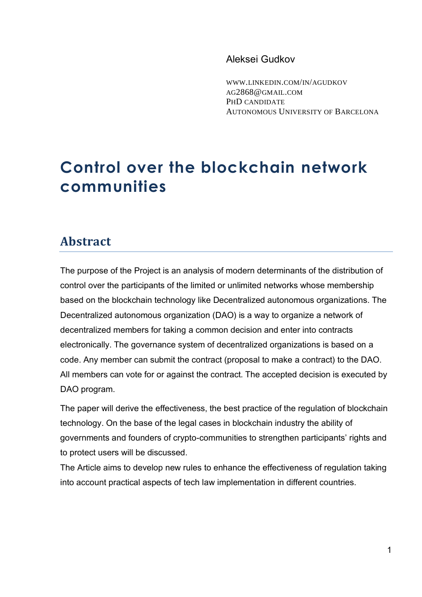## Aleksei Gudkov

WWW.LINKEDIN.COM/IN/[AGUDKOV](http://www.linkedin.com/in/agudkov) AG[2868@](mailto:ag2868@gmail.com)GMAIL.COM PHD CANDIDATE AUTONOMOUS UNIVERSITY OF BARCELONA

## **Control over the blockchain network communities**

## **Abstract**

The purpose of the Project is an analysis of modern determinants of the distribution of control over the participants of the limited or unlimited networks whose membership based on the blockchain technology like Decentralized autonomous organizations. The Decentralized autonomous organization (DAO) is a way to organize a network of decentralized members for taking a common decision and enter into contracts electronically. The governance system of decentralized organizations is based on a code. Any member can submit the contract (proposal to make a contract) to the DAO. All members can vote for or against the contract. The accepted decision is executed by DAO program.

The paper will derive the effectiveness, the best practice of the regulation of blockchain technology. On the base of the legal cases in blockchain industry the ability of governments and founders of crypto-communities to strengthen participants' rights and to protect users will be discussed.

The Article aims to develop new rules to enhance the effectiveness of regulation taking into account practical aspects of tech law implementation in different countries.